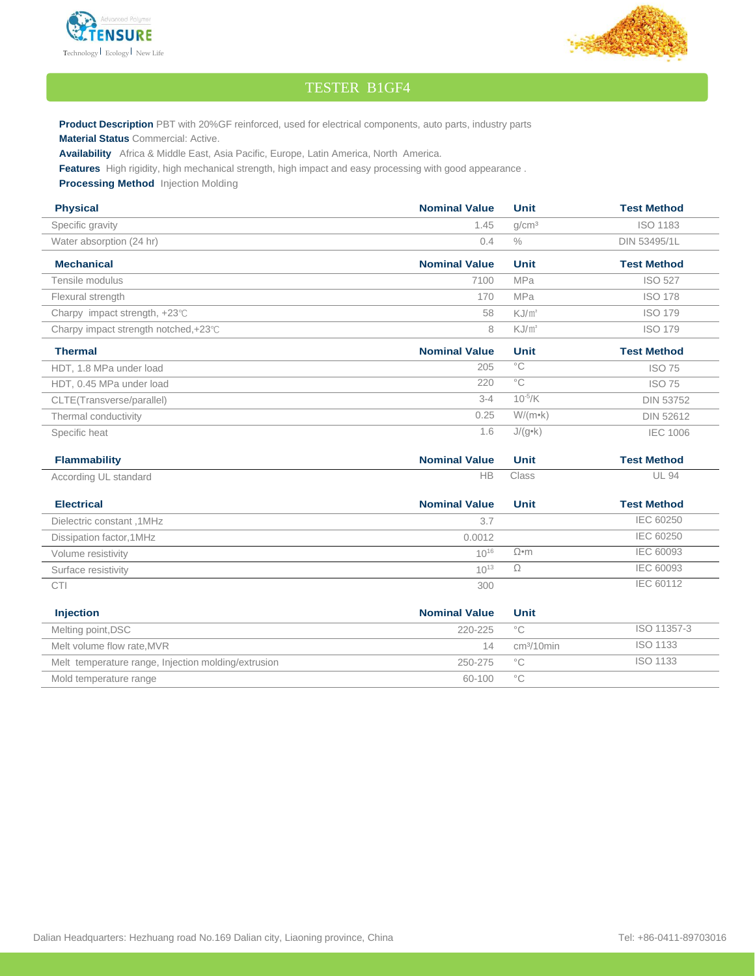



## TESTER B1GF4

**Product Description** PBT with 20%GF reinforced, used for electrical components, auto parts, industry parts **Material Status** Commercial: Active.

**Availability** Africa & Middle East, Asia Pacific, Europe, Latin America, North America.

**Features** High rigidity, high mechanical strength, high impact and easy processing with good appearance .

**Processing Method** Injection Molding

| <b>Physical</b>                      | <b>Nominal Value</b> | <b>Unit</b>       | <b>Test Method</b> |
|--------------------------------------|----------------------|-------------------|--------------------|
| Specific gravity                     | 1.45                 | g/cm <sup>3</sup> | <b>ISO 1183</b>    |
| Water absorption (24 hr)             | 0.4                  | $\%$              | DIN 53495/1L       |
| <b>Mechanical</b>                    | <b>Nominal Value</b> | <b>Unit</b>       | <b>Test Method</b> |
| Tensile modulus                      | 7100                 | <b>MPa</b>        | <b>ISO 527</b>     |
| Flexural strength                    | 170                  | <b>MPa</b>        | <b>ISO 178</b>     |
| Charpy impact strength, +23°C        | 58                   | $KJ/m^2$          | <b>ISO 179</b>     |
| Charpy impact strength notched, +23℃ | 8                    | $KJ/m^2$          | <b>ISO 179</b>     |
| <b>Thermal</b>                       | <b>Nominal Value</b> | <b>Unit</b>       | <b>Test Method</b> |
| HDT, 1.8 MPa under load              | 205                  | $^{\circ}$ C      | <b>ISO 75</b>      |
| HDT, 0.45 MPa under load             | 220                  | $^{\circ}$ C      | <b>ISO 75</b>      |
| CLTE(Transverse/parallel)            | $3 - 4$              | $10^{-5}/K$       | <b>DIN 53752</b>   |
| Thermal conductivity                 | 0.25                 | $W/(m \cdot k)$   | <b>DIN 52612</b>   |
| Specific heat                        | 1.6                  | $J/(g \cdot k)$   | <b>IEC 1006</b>    |

| Flammability          | <b>Nominal Value</b> | Unit  | <b>Test Method</b> |
|-----------------------|----------------------|-------|--------------------|
| According UL standard | JΠ<br>⊣פ             | Class | <b>UL 94</b>       |

| <b>Electrical</b>         | <b>Nominal Value</b> | Unit | <b>Test Method</b> |
|---------------------------|----------------------|------|--------------------|
| Dielectric constant, 1MHz | 3.7                  |      | IEC 60250          |
| Dissipation factor, 1MHz  | 0.0012               |      | IEC 60250          |
| Volume resistivity        | $10^{16}$            | Ω•m  | IEC 60093          |
| Surface resistivity       | $10^{13}$            |      | IEC 60093          |
| <b>CTI</b>                | 300                  |      | IEC 60112          |

| <b>Injection</b>                                    | <b>Nominal Value</b> | Unit                   |             |
|-----------------------------------------------------|----------------------|------------------------|-------------|
| Melting point, DSC                                  | 220-225              | $^{\circ}$ C           | ISO 11357-3 |
| Melt volume flow rate, MVR                          | 14                   | cm <sup>3</sup> /10min | ISO 1133    |
| Melt temperature range, Injection molding/extrusion | 250-275              | ಿ⊂                     | ISO 1133    |
| Mold temperature range                              | 60-100               | $^{\circ}$ C           |             |